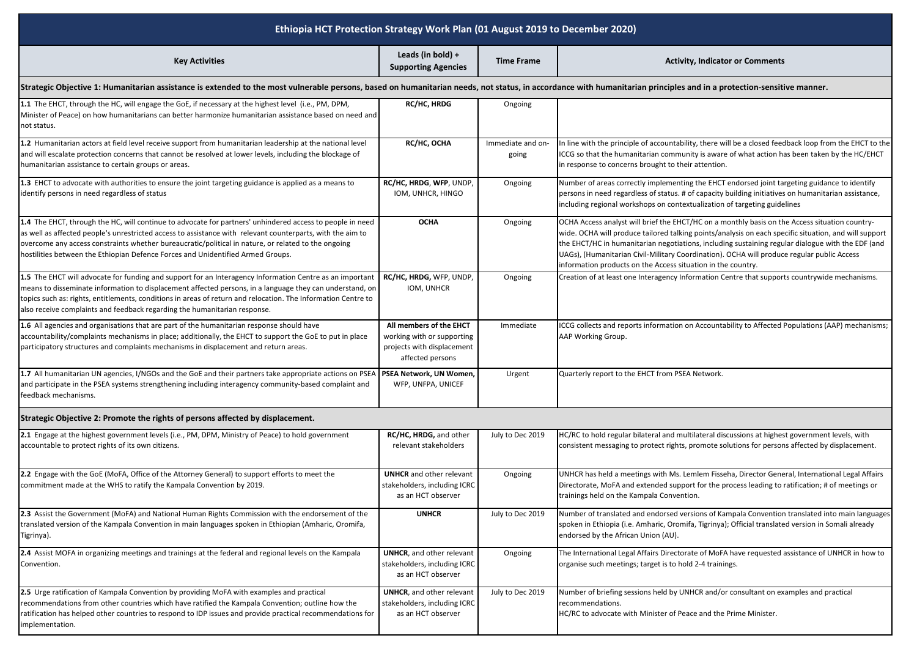| Ethiopia HCT Protection Strategy Work Plan (01 August 2019 to December 2020)                                                                                                                                                                                                                                                                                                                                       |                                                                                                         |                            |                                                                                                                                                                                                                                                                                                                                                                                                                                                                            |  |  |  |
|--------------------------------------------------------------------------------------------------------------------------------------------------------------------------------------------------------------------------------------------------------------------------------------------------------------------------------------------------------------------------------------------------------------------|---------------------------------------------------------------------------------------------------------|----------------------------|----------------------------------------------------------------------------------------------------------------------------------------------------------------------------------------------------------------------------------------------------------------------------------------------------------------------------------------------------------------------------------------------------------------------------------------------------------------------------|--|--|--|
| <b>Key Activities</b>                                                                                                                                                                                                                                                                                                                                                                                              | Leads (in bold) +<br><b>Supporting Agencies</b>                                                         | <b>Time Frame</b>          | <b>Activity, Indicator or Comments</b>                                                                                                                                                                                                                                                                                                                                                                                                                                     |  |  |  |
| Strategic Objective 1: Humanitarian assistance is extended to the most vulnerable persons, based on humanitarian needs, not status, in accordance with humanitarian principles and in a protection-sensitive manner.                                                                                                                                                                                               |                                                                                                         |                            |                                                                                                                                                                                                                                                                                                                                                                                                                                                                            |  |  |  |
| 1.1 The EHCT, through the HC, will engage the GoE, if necessary at the highest level (i.e., PM, DPM,<br>Minister of Peace) on how humanitarians can better harmonize humanitarian assistance based on need and<br>not status.                                                                                                                                                                                      | <b>RC/HC, HRDG</b>                                                                                      | Ongoing                    |                                                                                                                                                                                                                                                                                                                                                                                                                                                                            |  |  |  |
| 1.2 Humanitarian actors at field level receive support from humanitarian leadership at the national level<br>and will escalate protection concerns that cannot be resolved at lower levels, including the blockage of<br>numanitarian assistance to certain groups or areas.                                                                                                                                       | RC/HC, OCHA                                                                                             | Immediate and on-<br>going | In line with the principle of accountability, there will be a closed feedback loop from the EHCT to the<br>ICCG so that the humanitarian community is aware of what action has been taken by the HC/EHCT<br>in response to concerns brought to their attention.                                                                                                                                                                                                            |  |  |  |
| 1.3 EHCT to advocate with authorities to ensure the joint targeting guidance is applied as a means to<br>identify persons in need regardless of status                                                                                                                                                                                                                                                             | RC/HC, HRDG, WFP, UNDP,<br>IOM, UNHCR, HINGO                                                            | Ongoing                    | Number of areas correctly implementing the EHCT endorsed joint targeting guidance to identify<br>persons in need regardless of status. # of capacity building initiatives on humanitarian assistance,<br>including regional workshops on contextualization of targeting guidelines                                                                                                                                                                                         |  |  |  |
| 1.4 The EHCT, through the HC, will continue to advocate for partners' unhindered access to people in need<br>as well as affected people's unrestricted access to assistance with relevant counterparts, with the aim to<br>overcome any access constraints whether bureaucratic/political in nature, or related to the ongoing<br>nostilities between the Ethiopian Defence Forces and Unidentified Armed Groups.  | <b>OCHA</b>                                                                                             | Ongoing                    | OCHA Access analyst will brief the EHCT/HC on a monthly basis on the Access situation country-<br>wide. OCHA will produce tailored talking points/analysis on each specific situation, and will support<br>the EHCT/HC in humanitarian negotiations, including sustaining regular dialogue with the EDF (and<br>UAGs), (Humanitarian Civil-Military Coordination). OCHA will produce regular public Access<br>information products on the Access situation in the country. |  |  |  |
| 1.5 The EHCT will advocate for funding and support for an Interagency Information Centre as an important<br>means to disseminate information to displacement affected persons, in a language they can understand, on<br>topics such as: rights, entitlements, conditions in areas of return and relocation. The Information Centre to<br>also receive complaints and feedback regarding the humanitarian response. | RC/HC, HRDG, WFP, UNDP,<br>IOM, UNHCR                                                                   | Ongoing                    | Creation of at least one Interagency Information Centre that supports countrywide mechanisms.                                                                                                                                                                                                                                                                                                                                                                              |  |  |  |
| 1.6 All agencies and organisations that are part of the humanitarian response should have<br>accountability/complaints mechanisms in place; additionally, the EHCT to support the GoE to put in place<br>participatory structures and complaints mechanisms in displacement and return areas.                                                                                                                      | All members of the EHCT<br>working with or supporting<br>projects with displacement<br>affected persons | Immediate                  | ICCG collects and reports information on Accountability to Affected Populations (AAP) mechanisms;<br>AAP Working Group.                                                                                                                                                                                                                                                                                                                                                    |  |  |  |
| 1.7 All humanitarian UN agencies, I/NGOs and the GoE and their partners take appropriate actions on PSEA<br>and participate in the PSEA systems strengthening including interagency community-based complaint and<br>feedback mechanisms.                                                                                                                                                                          | PSEA Network, UN Women<br>WFP, UNFPA, UNICEF                                                            | Urgent                     | Quarterly report to the EHCT from PSEA Network.                                                                                                                                                                                                                                                                                                                                                                                                                            |  |  |  |
| Strategic Objective 2: Promote the rights of persons affected by displacement.                                                                                                                                                                                                                                                                                                                                     |                                                                                                         |                            |                                                                                                                                                                                                                                                                                                                                                                                                                                                                            |  |  |  |
| 2.1 Engage at the highest government levels (i.e., PM, DPM, Ministry of Peace) to hold government<br>accountable to protect rights of its own citizens.                                                                                                                                                                                                                                                            | RC/HC, HRDG, and other<br>relevant stakeholders                                                         | July to Dec 2019           | HC/RC to hold regular bilateral and multilateral discussions at highest government levels, with<br>consistent messaging to protect rights, promote solutions for persons affected by displacement.                                                                                                                                                                                                                                                                         |  |  |  |
| 2.2 Engage with the GoE (MoFA, Office of the Attorney General) to support efforts to meet the<br>commitment made at the WHS to ratify the Kampala Convention by 2019.                                                                                                                                                                                                                                              | <b>UNHCR</b> and other relevant<br>stakeholders, including ICRC<br>as an HCT observer                   | Ongoing                    | UNHCR has held a meetings with Ms. Lemlem Fisseha, Director General, International Legal Affairs<br>Directorate, MoFA and extended support for the process leading to ratification; # of meetings or<br>trainings held on the Kampala Convention.                                                                                                                                                                                                                          |  |  |  |
| 2.3 Assist the Government (MoFA) and National Human Rights Commission with the endorsement of the<br>translated version of the Kampala Convention in main languages spoken in Ethiopian (Amharic, Oromifa,<br>Tigrinya).                                                                                                                                                                                           | <b>UNHCR</b>                                                                                            | July to Dec 2019           | Number of translated and endorsed versions of Kampala Convention translated into main languages<br>spoken in Ethiopia (i.e. Amharic, Oromifa, Tigrinya); Official translated version in Somali already<br>endorsed by the African Union (AU).                                                                                                                                                                                                                              |  |  |  |
| 2.4 Assist MOFA in organizing meetings and trainings at the federal and regional levels on the Kampala<br>Convention.                                                                                                                                                                                                                                                                                              | <b>UNHCR, and other relevant</b><br>stakeholders, including ICRC<br>as an HCT observer                  | Ongoing                    | The International Legal Affairs Directorate of MoFA have requested assistance of UNHCR in how to<br>organise such meetings; target is to hold 2-4 trainings.                                                                                                                                                                                                                                                                                                               |  |  |  |
| 2.5 Urge ratification of Kampala Convention by providing MoFA with examples and practical<br>recommendations from other countries which have ratified the Kampala Convention; outline how the<br>ratification has helped other countries to respond to IDP issues and provide practical recommendations for<br>mplementation.                                                                                      | <b>UNHCR, and other relevant</b><br>stakeholders, including ICRC<br>as an HCT observer                  | July to Dec 2019           | Number of briefing sessions held by UNHCR and/or consultant on examples and practical<br>recommendations.<br>HC/RC to advocate with Minister of Peace and the Prime Minister.                                                                                                                                                                                                                                                                                              |  |  |  |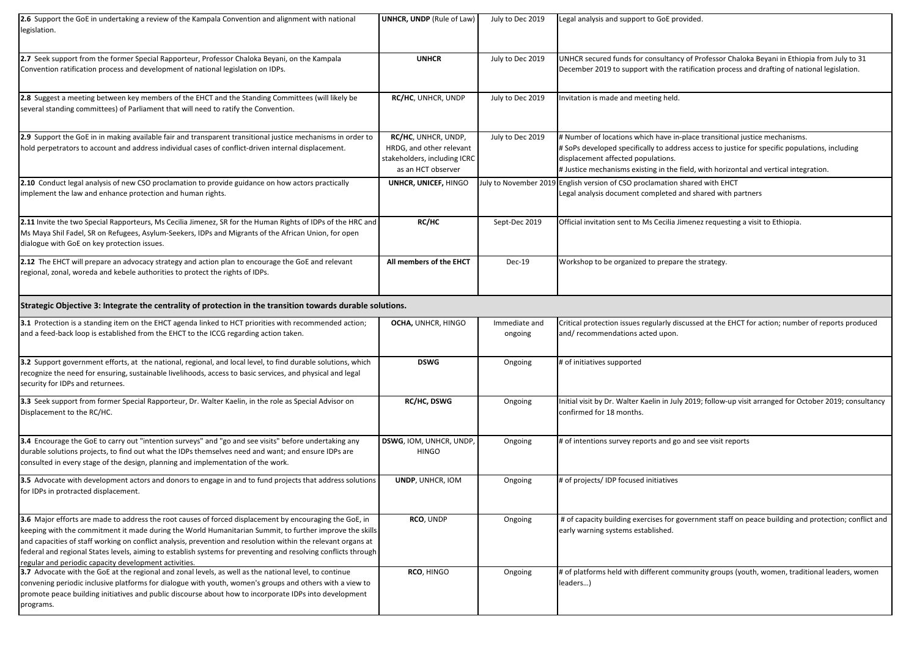| <b>2.6</b> Support the GoE in undertaking a review of the Kampala Convention and alignment with national<br>legislation.                                                                                                                                                                                                                                                                                                                                                                                       | <b>UNHCR, UNDP</b> (Rule of Law)                                                                      | July to Dec 2019         | Legal analysis and support to GoE provided.                                                                                                                                                                                                                                                                |  |  |  |
|----------------------------------------------------------------------------------------------------------------------------------------------------------------------------------------------------------------------------------------------------------------------------------------------------------------------------------------------------------------------------------------------------------------------------------------------------------------------------------------------------------------|-------------------------------------------------------------------------------------------------------|--------------------------|------------------------------------------------------------------------------------------------------------------------------------------------------------------------------------------------------------------------------------------------------------------------------------------------------------|--|--|--|
| 2.7 Seek support from the former Special Rapporteur, Professor Chaloka Beyani, on the Kampala<br>Convention ratification process and development of national legislation on IDPs.                                                                                                                                                                                                                                                                                                                              | <b>UNHCR</b>                                                                                          | July to Dec 2019         | UNHCR secured funds for consultancy of Professor Chaloka Beyani in Ethiopia from July to 31<br>December 2019 to support with the ratification process and drafting of national legislation.                                                                                                                |  |  |  |
| 2.8 Suggest a meeting between key members of the EHCT and the Standing Committees (will likely be<br>several standing committees) of Parliament that will need to ratify the Convention.                                                                                                                                                                                                                                                                                                                       | RC/HC, UNHCR, UNDP                                                                                    | July to Dec 2019         | Invitation is made and meeting held.                                                                                                                                                                                                                                                                       |  |  |  |
| 2.9 Support the GoE in in making available fair and transparent transitional justice mechanisms in order to<br>hold perpetrators to account and address individual cases of conflict-driven internal displacement.                                                                                                                                                                                                                                                                                             | RC/HC, UNHCR, UNDP,<br>HRDG, and other relevant<br>stakeholders, including ICRC<br>as an HCT observer | July to Dec 2019         | # Number of locations which have in-place transitional justice mechanisms.<br># SoPs developed specifically to address access to justice for specific populations, including<br>displacement affected populations.<br>#Justice mechanisms existing in the field, with horizontal and vertical integration. |  |  |  |
| 2.10 Conduct legal analysis of new CSO proclamation to provide guidance on how actors practically<br>implement the law and enhance protection and human rights.                                                                                                                                                                                                                                                                                                                                                | UNHCR, UNICEF, HINGO                                                                                  |                          | July to November 2019 English version of CSO proclamation shared with EHCT<br>Legal analysis document completed and shared with partners                                                                                                                                                                   |  |  |  |
| 2.11 Invite the two Special Rapporteurs, Ms Cecilia Jimenez, SR for the Human Rights of IDPs of the HRC and<br>Ms Maya Shil Fadel, SR on Refugees, Asylum-Seekers, IDPs and Migrants of the African Union, for open<br>dialogue with GoE on key protection issues.                                                                                                                                                                                                                                             | RC/HC                                                                                                 | Sept-Dec 2019            | Official invitation sent to Ms Cecilia Jimenez requesting a visit to Ethiopia.                                                                                                                                                                                                                             |  |  |  |
| 2.12 The EHCT will prepare an advocacy strategy and action plan to encourage the GoE and relevant<br>regional, zonal, woreda and kebele authorities to protect the rights of IDPs.                                                                                                                                                                                                                                                                                                                             | All members of the EHCT                                                                               | <b>Dec-19</b>            | Workshop to be organized to prepare the strategy.                                                                                                                                                                                                                                                          |  |  |  |
| Strategic Objective 3: Integrate the centrality of protection in the transition towards durable solutions.                                                                                                                                                                                                                                                                                                                                                                                                     |                                                                                                       |                          |                                                                                                                                                                                                                                                                                                            |  |  |  |
| 3.1 Protection is a standing item on the EHCT agenda linked to HCT priorities with recommended action;<br>and a feed-back loop is established from the EHCT to the ICCG regarding action taken.                                                                                                                                                                                                                                                                                                                | OCHA, UNHCR, HINGO                                                                                    | Immediate and<br>ongoing | Critical protection issues regularly discussed at the EHCT for action; number of reports produced<br>and/recommendations acted upon.                                                                                                                                                                       |  |  |  |
| 3.2 Support government efforts, at the national, regional, and local level, to find durable solutions, which<br>recognize the need for ensuring, sustainable livelihoods, access to basic services, and physical and legal<br>security for IDPs and returnees.                                                                                                                                                                                                                                                 | <b>DSWG</b>                                                                                           | Ongoing                  | # of initiatives supported                                                                                                                                                                                                                                                                                 |  |  |  |
| 3.3 Seek support from former Special Rapporteur, Dr. Walter Kaelin, in the role as Special Advisor on<br>Displacement to the RC/HC.                                                                                                                                                                                                                                                                                                                                                                            | <b>RC/HC, DSWG</b>                                                                                    | Ongoing                  | Initial visit by Dr. Walter Kaelin in July 2019; follow-up visit arranged for October 2019; consultancy<br>confirmed for 18 months.                                                                                                                                                                        |  |  |  |
| 3.4 Encourage the GoE to carry out "intention surveys" and "go and see visits" before undertaking any<br>durable solutions projects, to find out what the IDPs themselves need and want; and ensure IDPs are<br>consulted in every stage of the design, planning and implementation of the work.                                                                                                                                                                                                               | DSWG, IOM, UNHCR, UNDP,<br><b>HINGO</b>                                                               | Ongoing                  | # of intentions survey reports and go and see visit reports                                                                                                                                                                                                                                                |  |  |  |
| 3.5 Advocate with development actors and donors to engage in and to fund projects that address solutions<br>for IDPs in protracted displacement.                                                                                                                                                                                                                                                                                                                                                               | UNDP, UNHCR, IOM                                                                                      | Ongoing                  | # of projects/IDP focused initiatives                                                                                                                                                                                                                                                                      |  |  |  |
| 3.6 Major efforts are made to address the root causes of forced displacement by encouraging the GoE, in<br>keeping with the commitment it made during the World Humanitarian Summit, to further improve the skills<br>and capacities of staff working on conflict analysis, prevention and resolution within the relevant organs at<br>federal and regional States levels, aiming to establish systems for preventing and resolving conflicts through<br>regular and periodic capacity development activities. | RCO, UNDP                                                                                             | Ongoing                  | # of capacity building exercises for government staff on peace building and protection; conflict and<br>early warning systems established.                                                                                                                                                                 |  |  |  |
| 3.7 Advocate with the GoE at the regional and zonal levels, as well as the national level, to continue<br>convening periodic inclusive platforms for dialogue with youth, women's groups and others with a view to<br>promote peace building initiatives and public discourse about how to incorporate IDPs into development<br>programs.                                                                                                                                                                      | RCO, HINGO                                                                                            | Ongoing                  | # of platforms held with different community groups (youth, women, traditional leaders, women<br>leaders)                                                                                                                                                                                                  |  |  |  |